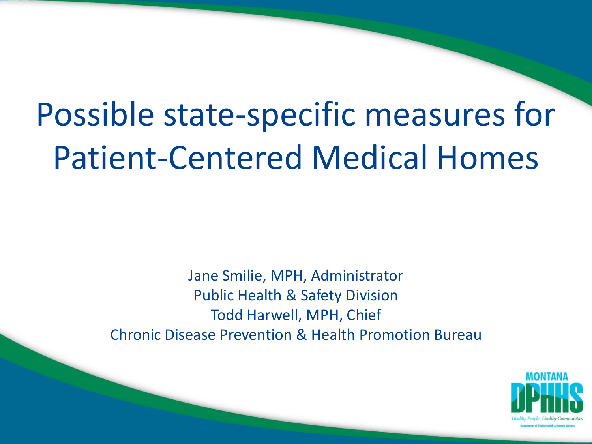# Possible state-specific measures for Patient-Centered Medical Homes

Jane Smilie, MPH, Administrator Public Health & Safety Division Todd Harwell, MPH, Chief Chronic Disease Prevention & Health Promotion Bureau

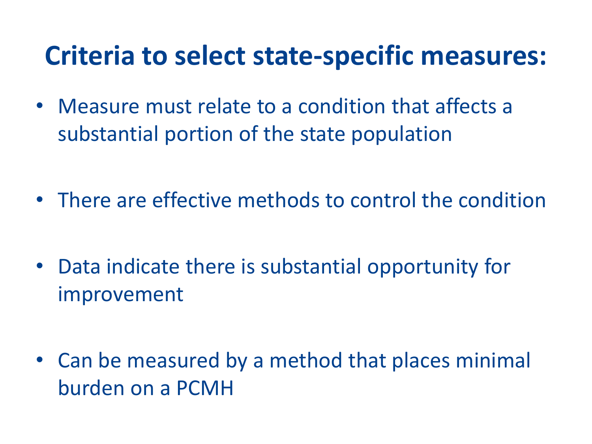#### **Criteria to select state-specific measures:**

- Measure must relate to a condition that affects a substantial portion of the state population
- There are effective methods to control the condition
- Data indicate there is substantial opportunity for improvement
- Can be measured by a method that places minimal burden on a PCMH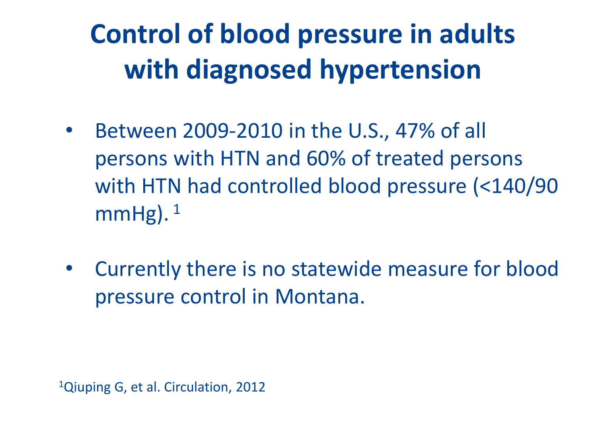# **Control of blood pressure in adults with diagnosed hypertension**

- Between 2009-2010 in the U.S., 47% of all persons with HTN and 60% of treated persons with HTN had controlled blood pressure (<140/90  $mmHg$ ). <sup>1</sup>
- Currently there is no statewide measure for blood pressure control in Montana.

<sup>1</sup>Qiuping G, et al. Circulation, 2012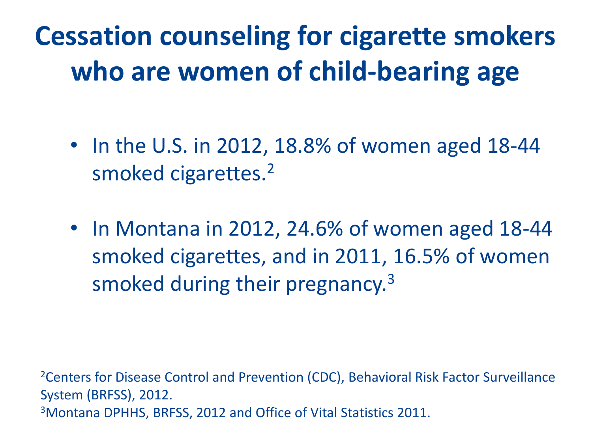### **Cessation counseling for cigarette smokers who are women of child-bearing age**

- In the U.S. in 2012, 18.8% of women aged 18-44 smoked cigarettes.<sup>2</sup>
- In Montana in 2012, 24.6% of women aged 18-44 smoked cigarettes, and in 2011, 16.5% of women smoked during their pregnancy.<sup>3</sup>

<sup>2</sup>Centers for Disease Control and Prevention (CDC), Behavioral Risk Factor Surveillance System (BRFSS), 2012. 3Montana DPHHS, BRFSS, 2012 and Office of Vital Statistics 2011.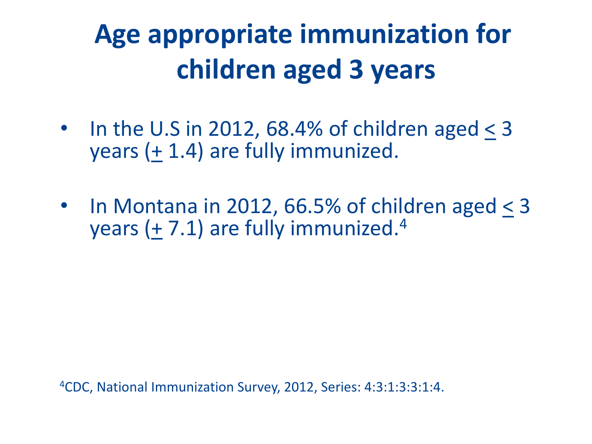# **Age appropriate immunization for children aged 3 years**

- In the U.S in 2012, 68.4% of children aged  $<$  3 years (+ 1.4) are fully immunized.
- In Montana in 2012, 66.5% of children aged < 3 years  $(+ 7.1)$  are fully immunized.<sup>4</sup>

4CDC, National Immunization Survey, 2012, Series: 4:3:1:3:3:1:4.